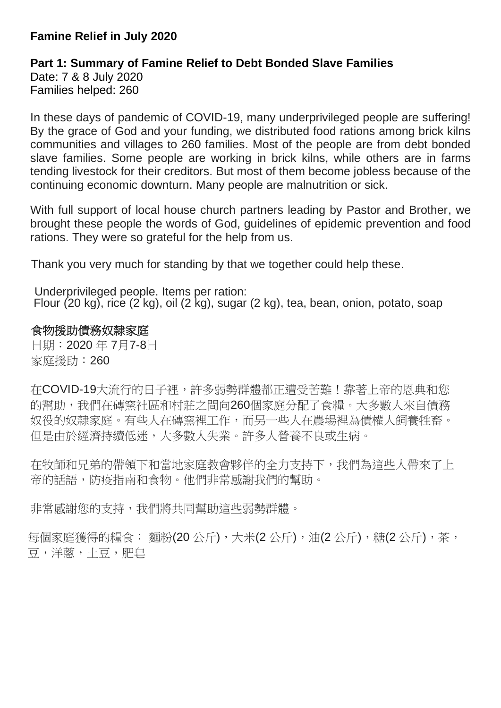## **Famine Relief in July 2020**

### **Part 1: Summary of Famine Relief to Debt Bonded Slave Families**

Date: 7 & 8 July 2020 Families helped: 260

In these days of pandemic of COVID-19, many underprivileged people are suffering! By the grace of God and your funding, we distributed food rations among brick kilns communities and villages to 260 families. Most of the people are from debt bonded slave families. Some people are working in brick kilns, while others are in farms tending livestock for their creditors. But most of them become jobless because of the continuing economic downturn. Many people are malnutrition or sick.

With full support of local house church partners leading by Pastor and Brother, we brought these people the words of God, guidelines of epidemic prevention and food rations. They were so grateful for the help from us.

Thank you very much for standing by that we together could help these.

 Underprivileged people. Items per ration: Flour (20 kg), rice (2 kg), oil (2 kg), sugar (2 kg), tea, bean, onion, potato, soap

## 食物援助債務奴隸家庭

日期:2020 年 7月7-8日 家庭援助:260

在COVID-19大流行的日子裡,許多弱勢群體都正遭受苦難!靠著上帝的恩典和您 的幫助,我們在磚窯社區和村莊之間向260個家庭分配了食糧。大多數人來自債務 奴役的奴隸家庭。有些人在磚窯裡工作,而另一些人在農場裡為債權人飼養牲畜。 但是由於經濟持續低迷,大多數人失業。許多人營養不良或生病。

在牧師和兄弟的帶領下和當地家庭教會夥伴的全力支持下,我們為這些人帶來了上 帝的話語,防疫指南和食物。他們非常感謝我們的幫助。

非常感謝您的支持,我們將共同幫助這些弱勢群體。

每個家庭獲得的糧食: 麵粉(20 公斤),大米(2 公斤),油(2 公斤),糖(2 公斤),茶, 豆,洋蔥,土豆,肥皂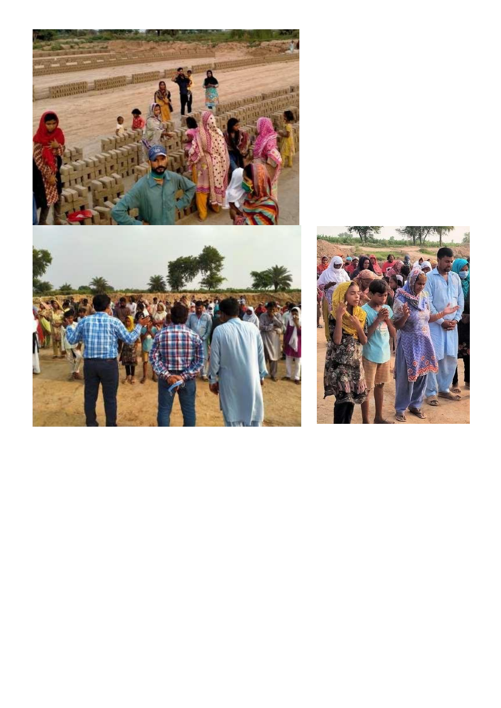



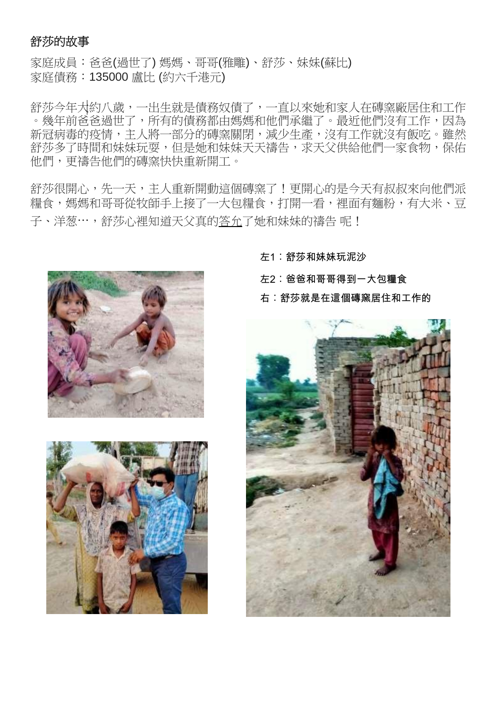#### 舒莎的故事

家庭成員︰爸爸(過世了) 媽媽、哥哥(雅雕)、舒莎、妹妹(蘇比) 家庭債務︰135000 盧比 (約六千港元)

舒莎今年大約八歲,一出生就是債務奴債了,一直以來她和家人在磚窯廠居住和工作 。幾年前爸爸過世了,所有的債務都由媽媽和他們承繼了。最近他們沒有工作,因為 新冠病毒的疫情,主人將一部分的磚窯關閉,減少生產,沒有工作就沒有飯吃。雖然 舒莎多了時間和妹妹玩耍,但是她和妹妹天天禱告,求天父供給他們一家食物,保佑 他們,更禱告他們的磚窯快快重新開工。

舒莎很開心,先一天,主人重新開動這個磚窯了!更開心的是今天有叔叔來向他們派 糧食,媽媽和哥哥從牧師手上接了一大包糧食,打開一看,裡面有麵粉,有大米、豆 子、洋葱…,舒莎心裡知道天父真的答允了她和妹妹的禱告 呢!





左1︰舒莎和妹妹玩泥沙

左2︰爸爸和哥哥得到一大包糧食

右︰舒莎就是在這個磚窯居住和工作的

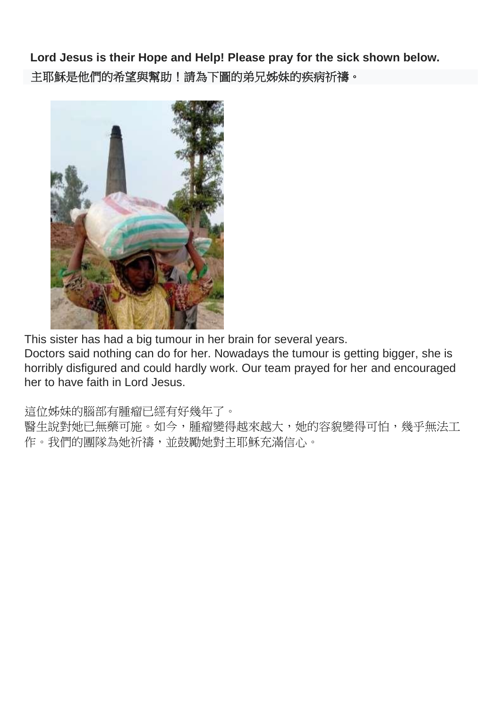**Lord Jesus is their Hope and Help! Please pray for the sick shown below.** 主耶穌是他們的希望與幫助!請為下圖的弟兄姊妹的疾病祈禱。



This sister has had a big tumour in her brain for several years.

Doctors said nothing can do for her. Nowadays the tumour is getting bigger, she is horribly disfigured and could hardly work. Our team prayed for her and encouraged her to have faith in Lord Jesus.

這位姊妹的腦部有腫瘤已經有好幾年了。

醫生說對她已無藥可施。如今,腫瘤變得越來越大,她的容貌變得可怕,幾乎無法工 作。我們的團隊為她祈禱,並鼓勵她對主耶穌充滿信心。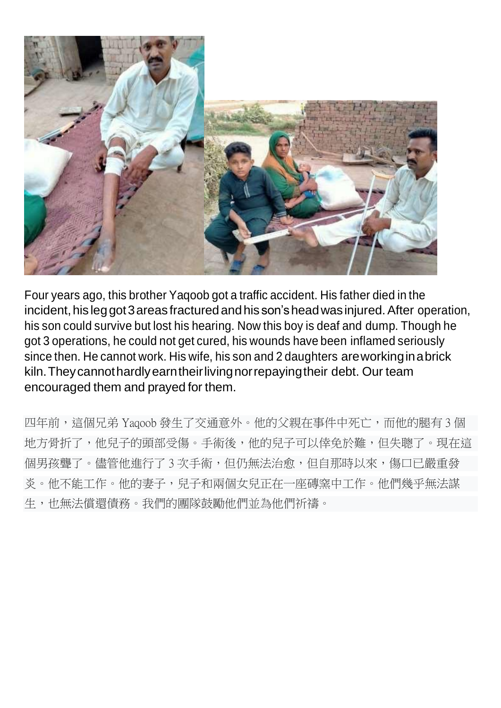

Four years ago, this brother Yaqoob got a traffic accident. His father died in the incident, his leg got 3 areas fractured and his son's head was injured. After operation, his son could survive but lost his hearing. Now this boy is deaf and dump. Though he got 3 operations, he could not get cured, his wounds have been inflamed seriously since then. He cannot work. His wife, his son and 2 daughters areworkinginabrick kiln.Theycannothardlyearntheirlivingnorrepayingtheir debt. Our team encouraged them and prayed for them.

四年前,這個兄弟 Yaqoob 發生了交通意外。他的父親在事件中死亡,而他的腿有3個 地方骨折了,他兒子的頭部受傷。手術後,他的兒子可以倖免於難,但失聰了。現在這 個男孩聾了。儘管他進行了 3 次手術,但仍無法治愈,但自那時以來, 傷口已嚴重發 炎。他不能工作。他的妻子,兒子和兩個女兒正在一座磚窯中工作。他們幾乎無法謀 生,也無法償還債務。我們的團隊鼓勵他們並為他們祈禱。